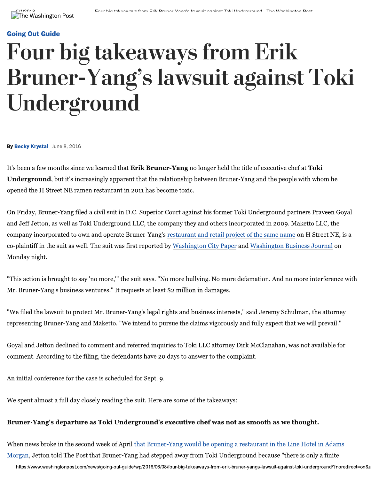#### **Going Out Guide**

# **Four big takeaways from Erik** Bruner-Yang's lawsuit against Toki Underground

By Becky Krystal June 8, 2016

It's been a few months since we learned that Erik Bruner-Yang no longer held the title of executive chef at Toki **Underground**, but it's increasingly apparent that the relationship between Bruner-Yang and the people with whom he opened the H Street NE ramen restaurant in 2011 has become toxic.

On Friday, Bruner-Yang filed a civil suit in D.C. Superior Court against his former Toki Underground partners Praveen Goyal and Jeff Jetton, as well as Toki Underground LLC, the company they and others incorporated in 2009. Maketto LLC, the company incorporated to own and operate Bruner-Yang's restaurant and retail project of the same name on H Street NE, is a co-plaintiff in the suit as well. The suit was first reported by Washington City Paper and Washington Business Journal on Monday night.

"This action is brought to say 'no more," the suit says. "No more bullying. No more defamation. And no more interference with Mr. Bruner-Yang's business ventures." It requests at least \$2 million in damages.

"We filed the lawsuit to protect Mr. Bruner-Yang's legal rights and business interests," said Jeremy Schulman, the attorney representing Bruner-Yang and Maketto. "We intend to pursue the claims vigorously and fully expect that we will prevail."

Goyal and Jetton declined to comment and referred inquiries to Toki LLC attorney Dirk McClanahan, was not available for comment. According to the filing, the defendants have 20 days to answer to the complaint.

An initial conference for the case is scheduled for Sept. 9.

We spent almost a full day closely reading the suit. Here are some of the takeaways:

#### Bruner-Yang's departure as Toki Underground's executive chef was not as smooth as we thought.

When news broke in the second week of April that Bruner-Yang would be opening a restaurant in the Line Hotel in Adams Morgan, Jetton told The Post that Bruner-Yang had stepped away from Toki Underground because "there is only a finite

https://www.washingtonpost.com/news/going-out-guide/wp/2016/06/08/four-big-takeaways-from-erik-bruner-yangs-lawsuit-against-toki-underground/?noredirect=on&u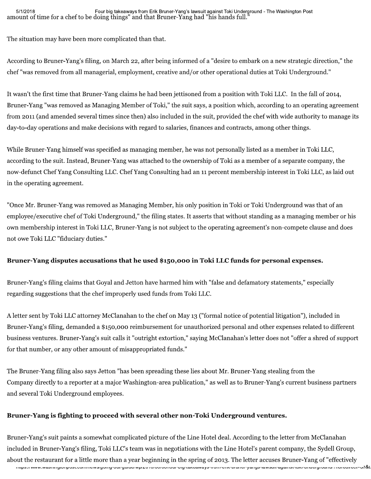The situation may have been more complicated than that.

According to Bruner-Yang's filing, on March 22, after being informed of a "desire to embark on a new strategic direction," the chef "was removed from all managerial, employment, creative and/or other operational duties at Toki Underground."

It wasn't the first time that Bruner-Yang claims he had been jettisoned from a position with Toki LLC. In the fall of 2014, Bruner-Yang "was removed as Managing Member of Toki," the suit says, a position which, according to an operating agreement from 2011 (and amended several times since then) also included in the suit, provided the chef with wide authority to manage its day-to-day operations and make decisions with regard to salaries, finances and contracts, among other things.

While Bruner-Yang himself was specified as managing member, he was not personally listed as a member in Toki LLC, according to the suit. Instead, Bruner-Yang was attached to the ownership of Toki as a member of a separate company, the now-defunct Chef Yang Consulting LLC. Chef Yang Consulting had an 11 percent membership interest in Toki LLC, as laid out in the operating agreement.

"Once Mr. Bruner-Yang was removed as Managing Member, his only position in Toki or Toki Underground was that of an employee/executive chef of Toki Underground," the filing states. It asserts that without standing as a managing member or his own membership interest in Toki LLC, Bruner-Yang is not subject to the operating agreement's non-compete clause and does not owe Toki LLC "fiduciary duties."

### Bruner-Yang disputes accusations that he used \$150,000 in Toki LLC funds for personal expenses.

Bruner-Yang's filing claims that Goyal and Jetton have harmed him with "false and defamatory statements," especially regarding suggestions that the chef improperly used funds from Toki LLC.

A letter sent by Toki LLC attorney McClanahan to the chef on May 13 ("formal notice of potential litigation"), included in Bruner-Yang's filing, demanded a \$150,000 reimbursement for unauthorized personal and other expenses related to different business ventures. Bruner-Yang's suit calls it "outright extortion," saying McClanahan's letter does not "offer a shred of support for that number, or any other amount of misappropriated funds."

The Bruner-Yang filing also says Jetton "has been spreading these lies about Mr. Bruner-Yang stealing from the Company directly to a reporter at a major Washington-area publication," as well as to Bruner-Yang's current business partners and several Toki Underground employees.

### Bruner-Yang is fighting to proceed with several other non-Toki Underground ventures.

нцрэ.//www.waənmiyuniposi.com/niewə/gomy-ourguiue/wp/∠o+o/o/www.iour-olg-takeawayə-nomi-enik-biuk-onami-yangə-lawəuli-agamərukk-uniuergrounu/ : noreunect-on&l<br>. Bruner-Yang's suit paints a somewhat com<br>
included in Bruner-Yang's filing, Toki LLC<br>
about the restaurant for a little more than<br>
inter-ality consideration in the more than Bruner-Yang's suit paints a somewhat complicated picture of the Line Hotel deal. According to the letter from McClanahan included in Bruner-Yang's filing, Toki LLC's team was in negotiations with the Line Hotel's parent company, the Sydell Group, about the restaurant for a little more than a year beginning in the spring of 2013. The letter accuses Bruner-Yang of "effectively"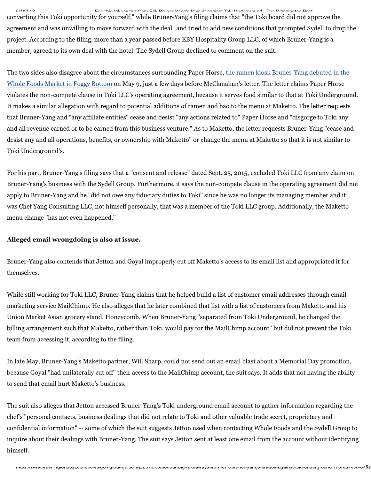$\frac{1}{1}$  . The contract of the state of the state of the contract of the contract of the contract of the contract of the contract of the contract of the contract of the contract of the contract of the contract of the con converting this Toki opportunity for yourself," while Bruner-Yang's filing claims that "the Toki board did not approve the agreement and was unwilling to move forward with the deal" and tried to add new conditions that prompted Sydell to drop the project. According to the filing, more than a year passed before EBY Hospitality Group LLC, of which Bruner-Yang is a member, agreed to its own deal with the hotel. The Sydell Group declined to comment on the suit.

The two sides also disagree about the circumstances surrounding Paper Horse, the ramen kiosk Bruner-Yang debuted in the Whole Foods Market in Foggy Bottom on May 9, just a few days before McClanahan's letter. The letter claims Paper Horse bookstaat on 2011-2011-2012 on 2013 to that at Toking Eqs. in Toking LCC's operating agreement, because it serves food similar to that at Toking Underground. It makes a similar allegation with regard to potential additions of ramen and bao to the menu at Maketto. The letter requests that Bruner-Yang and "any affiliate entities" cease and desist "any actions related to" Paper Horse and "disgorge to Toki any and all revenue earned or to be earned from this business venture." As to Maketto, the letter requests Bruner-Yang "cease and desist any and all operations, benefits, or ownership with Maketto" or change the menu at Maketto so that it is not similar to Toki Underground's.

For his part, Bruner-Yang's filing says that a "consent and release" dated Sept. 25, 2015, excluded Toki LLC from any claim on Bruner-Yang's business with the Sydell Group. Furthermore, it says the non-compete clause in the operating agreement did not apply to Bruner-Yang and he "did not owe any fiduciary duties to Toki" since he was no longer its managing member and it was Chef Yang Consulting LLC, not himself personally, that was a member of the Toki LLC group. Additionally, the Maketto menu change "has not even happened."

#### Alleged email wrongdoing is also at issue.

Bruner-Yang also contends that Jetton and Goyal improperly cut off Maketto's access to its email list and appropriated it for themselves.

While still working for Toki LLC, Bruner-Yang claims that he helped build a list of customer email addresses through email marketing service MailChimp. He also alleges that he later combined that list with a list of customers from Maketto and his Union Market Asian grocery stand, Honeycomb. When Bruner-Yang "separated from Toki Underground, he changed the billing arrangement such that Maketto, rather than Toki, would pay for the MailChimp account" but did not prevent the Toki team from accessing it, according to the filing.

In late May, Bruner-Yang's Maketto partner, Will Sharp, could not send out an email blast about a Memorial Day promotion, because Goyal "had unilaterally cut off" their access to the MailChimp account, the suit says. It adds that not having the ability to send that email hurt Maketto's business.

confidential information" -- some of which<br>inquire about their dealings with Bruner-Y<br>himself.<br>maps://www.wasimigoriposi.com/news/going-ourg The suit also alleges that Jetton accessed Bruner-Yang's Toki underground email account to gather information regarding the chef's "personal contacts, business dealings that did not relate to Toki and other valuable trade secret, proprietary and confidential information" -- some of which the suit suggests Jetton used when contacting Whole Foods and the Sydell Group to inquire about their dealings with Bruner-Yang. The suit says Jetton sent at least one email from the account without identifying himself.